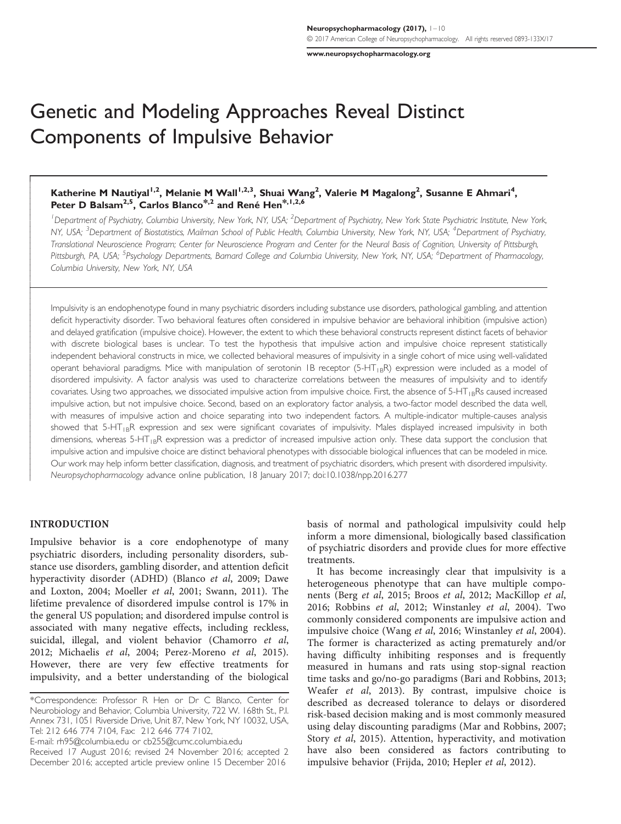[www.neuropsychopharmacology.org](http://www.neuropsychopharmacology.org)

# Genetic and Modeling Approaches Reveal Distinct Components of Impulsive Behavior

# Katherine M Nautiyal<sup>1,2</sup>, Melanie M Wall<sup>1,2,3</sup>, Shuai Wang<sup>2</sup>, Valerie M Magalong<sup>2</sup>, Susanne E Ahmari<sup>4</sup>, Peter D Balsam<sup>2,5</sup>, Carlos Blanco<sup>\*,2</sup> and René Hen<sup>\*,1,2,6</sup>

<sup>1</sup>Department of Psychiatry, Columbia University, New York, NY, USA; <sup>2</sup>Department of Psychiatry, New York State Psychiatric Institute, New York, NY, USA; <sup>3</sup>Department of Biostatistics, Mailman School of Public Health, Columbia University, New York, NY, USA; <sup>4</sup>Department of Psychiatry, Translational Neuroscience Program; Center for Neuroscience Program and Center for the Neural Basis of Cognition, University of Pittsburgh, Pittsburgh, PA, USA; <sup>5</sup>Psychology Departments, Barnard College and Columbia University, New York, NY, USA; <sup>6</sup>Department of Pharmacology, Columbia University, New York, NY, USA

Impulsivity is an endophenotype found in many psychiatric disorders including substance use disorders, pathological gambling, and attention deficit hyperactivity disorder. Two behavioral features often considered in impulsive behavior are behavioral inhibition (impulsive action) and delayed gratification (impulsive choice). However, the extent to which these behavioral constructs represent distinct facets of behavior with discrete biological bases is unclear. To test the hypothesis that impulsive action and impulsive choice represent statistically independent behavioral constructs in mice, we collected behavioral measures of impulsivity in a single cohort of mice using well-validated operant behavioral paradigms. Mice with manipulation of serotonin 1B receptor (5-HT<sub>1B</sub>R) expression were included as a model of disordered impulsivity. A factor analysis was used to characterize correlations between the measures of impulsivity and to identify covariates. Using two approaches, we dissociated impulsive action from impulsive choice. First, the absence of  $5-HT_{1B}Rs$  caused increased impulsive action, but not impulsive choice. Second, based on an exploratory factor analysis, a two-factor model described the data well, with measures of impulsive action and choice separating into two independent factors. A multiple-indicator multiple-causes analysis showed that 5-HT<sub>IB</sub>R expression and sex were significant covariates of impulsivity. Males displayed increased impulsivity in both dimensions, whereas  $5-\text{HT}_{1B}R$  expression was a predictor of increased impulsive action only. These data support the conclusion that impulsive action and impulsive choice are distinct behavioral phenotypes with dissociable biological influences that can be modeled in mice. Our work may help inform better classification, diagnosis, and treatment of psychiatric disorders, which present with disordered impulsivity. Neuropsychopharmacology advance online publication, 18 January 2017; doi:[10.1038/npp.2016.277](http://dx.doi.org/10.1038/npp.2016.277)

## INTRODUCTION

Ī

ł ľ

 $\overline{\phantom{a}}$ 

Impulsive behavior is a core endophenotype of many psychiatric disorders, including personality disorders, substance use disorders, gambling disorder, and attention deficit hyperactivity disorder (ADHD) [\(Blanco](#page-7-0) et al, 2009; [Dawe](#page-7-0) [and Loxton, 2004](#page-7-0); [Moeller](#page-8-0) et al, 2001; [Swann, 2011\)](#page-8-0). The lifetime prevalence of disordered impulse control is 17% in the general US population; and disordered impulse control is associated with many negative effects, including reckless, suicidal, illegal, and violent behavior ([Chamorro](#page-7-0) et al, [2012;](#page-7-0) [Michaelis](#page-8-0) et al, 2004; [Perez-Moreno](#page-8-0) et al, 2015). However, there are very few effective treatments for impulsivity, and a better understanding of the biological

E-mail: [rh95@columbia.edu](mailto:rh95@columbia.edu) or [cb255@cumc.columbia.edu](mailto:cb255@cumc.columbia.edu)

basis of normal and pathological impulsivity could help inform a more dimensional, biologically based classification of psychiatric disorders and provide clues for more effective treatments.

It has become increasingly clear that impulsivity is a heterogeneous phenotype that can have multiple components (Berg et al[, 2015](#page-7-0); Broos et al[, 2012](#page-7-0); [MacKillop](#page-8-0) et al, [2016; Robbins](#page-8-0) et al, 2012; [Winstanley](#page-9-0) et al, 2004). Two commonly considered components are impulsive action and impulsive choice (Wang et al[, 2016;](#page-8-0) [Winstanley](#page-9-0) et al, 2004). The former is characterized as acting prematurely and/or having difficulty inhibiting responses and is frequently measured in humans and rats using stop-signal reaction time tasks and go/no-go paradigms [\(Bari and Robbins, 2013;](#page-7-0) [Weafer](#page-8-0) et al, 2013). By contrast, impulsive choice is described as decreased tolerance to delays or disordered risk-based decision making and is most commonly measured using delay discounting paradigms [\(Mar and Robbins, 2007;](#page-8-0) Story et al[, 2015](#page-8-0)). Attention, hyperactivity, and motivation have also been considered as factors contributing to impulsive behavior ([Frijda, 2010; Hepler](#page-8-0) et al, 2012).

<sup>\*</sup>Correspondence: Professor R Hen or Dr C Blanco, Center for Neurobiology and Behavior, Columbia University, 722 W. 168th St., P.I. Annex 731, 1051 Riverside Drive, Unit 87, New York, NY 10032, USA, Tel: 212 646 774 7104, Fax: 212 646 774 7102,

Received 17 August 2016; revised 24 November 2016; accepted 2 December 2016; accepted article preview online 15 December 2016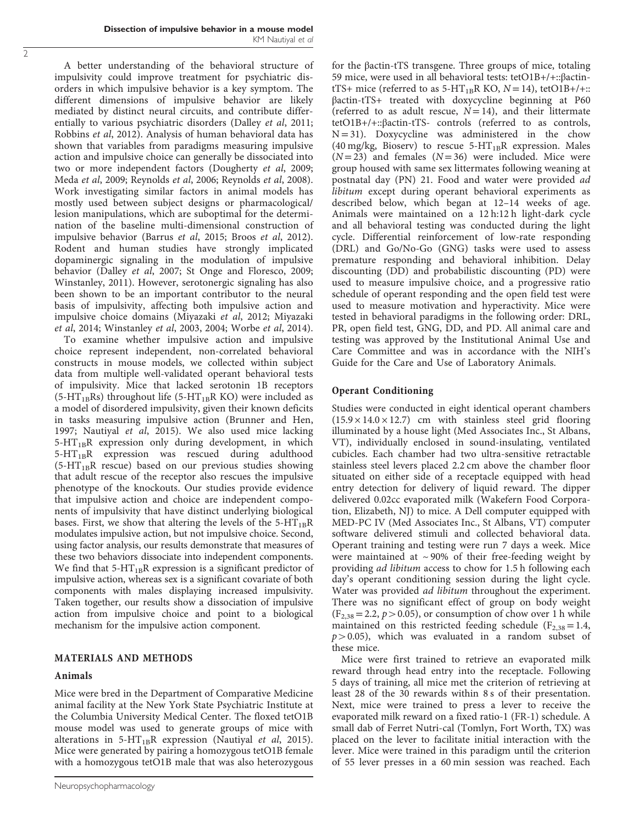A better understanding of the behavioral structure of impulsivity could improve treatment for psychiatric disorders in which impulsive behavior is a key symptom. The different dimensions of impulsive behavior are likely mediated by distinct neural circuits, and contribute differentially to various psychiatric disorders ([Dalley](#page-7-0) et al, 2011; [Robbins](#page-8-0) et al, 2012). Analysis of human behavioral data has shown that variables from paradigms measuring impulsive action and impulsive choice can generally be dissociated into two or more independent factors ([Dougherty](#page-7-0) et al, 2009; Meda et al[, 2009](#page-8-0); [Reynolds](#page-8-0) et al, 2006; [Reynolds](#page-8-0) et al, 2008). Work investigating similar factors in animal models has mostly used between subject designs or pharmacological/ lesion manipulations, which are suboptimal for the determination of the baseline multi-dimensional construction of impulsive behavior [\(Barrus](#page-7-0) et al, 2015; Broos et al[, 2012\)](#page-7-0). Rodent and human studies have strongly implicated dopaminergic signaling in the modulation of impulsive behavior (Dalley et al[, 2007;](#page-7-0) [St Onge and Floresco, 2009](#page-8-0); [Winstanley, 2011](#page-9-0)). However, serotonergic signaling has also been shown to be an important contributor to the neural basis of impulsivity, affecting both impulsive action and impulsive choice domains ([Miyazaki](#page-8-0) et al, 2012; [Miyazaki](#page-8-0) et al[, 2014;](#page-8-0) Winstanley et al[, 2003, 2004; Worbe](#page-9-0) et al, 2014).

To examine whether impulsive action and impulsive choice represent independent, non-correlated behavioral constructs in mouse models, we collected within subject data from multiple well-validated operant behavioral tests of impulsivity. Mice that lacked serotonin 1B receptors (5-HT<sub>1B</sub>Rs) throughout life (5-HT<sub>1B</sub>R KO) were included as a model of disordered impulsivity, given their known deficits in tasks measuring impulsive action ([Brunner and Hen,](#page-7-0) [1997](#page-7-0); [Nautiyal](#page-8-0) et al, 2015). We also used mice lacking  $5-HT_{1B}R$  expression only during development, in which 5-HT<sub>1B</sub>R expression was rescued during adulthood  $(5-HT_{1B}R$  rescue) based on our previous studies showing that adult rescue of the receptor also rescues the impulsive phenotype of the knockouts. Our studies provide evidence that impulsive action and choice are independent components of impulsivity that have distinct underlying biological bases. First, we show that altering the levels of the  $5-HT_{1B}R$ modulates impulsive action, but not impulsive choice. Second, using factor analysis, our results demonstrate that measures of these two behaviors dissociate into independent components. We find that  $5-HT_{1B}R$  expression is a significant predictor of impulsive action, whereas sex is a significant covariate of both components with males displaying increased impulsivity. Taken together, our results show a dissociation of impulsive action from impulsive choice and point to a biological mechanism for the impulsive action component.

# MATERIALS AND METHODS

## Animals

Mice were bred in the Department of Comparative Medicine animal facility at the New York State Psychiatric Institute at the Columbia University Medical Center. The floxed tetO1B mouse model was used to generate groups of mice with alterations in  $5-HT_{1B}R$  expression ([Nautiyal](#page-8-0) et al, 2015). Mice were generated by pairing a homozygous tetO1B female with a homozygous tetO1B male that was also heterozygous

for the βactin-tTS transgene. Three groups of mice, totaling 59 mice, were used in all behavioral tests: tetO1B+/+::βactintTS+ mice (referred to as  $5-HT_{1B}R$  KO,  $N = 14$ ), tetO1B+/+:: βactin-tTS+ treated with doxycycline beginning at P60 (referred to as adult rescue,  $N = 14$ ), and their littermate tetO1B+/+::βactin-tTS- controls (referred to as controls,  $N = 31$ ). Doxycycline was administered in the chow (40 mg/kg, Bioserv) to rescue  $5-HT_{1B}R$  expression. Males  $(N=23)$  and females  $(N=36)$  were included. Mice were group housed with same sex littermates following weaning at postnatal day (PN) 21. Food and water were provided ad libitum except during operant behavioral experiments as described below, which began at 12–14 weeks of age. Animals were maintained on a 12 h:12 h light-dark cycle and all behavioral testing was conducted during the light cycle. Differential reinforcement of low-rate responding (DRL) and Go/No-Go (GNG) tasks were used to assess premature responding and behavioral inhibition. Delay discounting (DD) and probabilistic discounting (PD) were used to measure impulsive choice, and a progressive ratio schedule of operant responding and the open field test were used to measure motivation and hyperactivity. Mice were tested in behavioral paradigms in the following order: DRL, PR, open field test, GNG, DD, and PD. All animal care and testing was approved by the Institutional Animal Use and Care Committee and was in accordance with the NIH's Guide for the Care and Use of Laboratory Animals.

# Operant Conditioning

Studies were conducted in eight identical operant chambers  $(15.9 \times 14.0 \times 12.7)$  cm with stainless steel grid flooring illuminated by a house light (Med Associates Inc., St Albans, VT), individually enclosed in sound-insulating, ventilated cubicles. Each chamber had two ultra-sensitive retractable stainless steel levers placed 2.2 cm above the chamber floor situated on either side of a receptacle equipped with head entry detection for delivery of liquid reward. The dipper delivered 0.02cc evaporated milk (Wakefern Food Corporation, Elizabeth, NJ) to mice. A Dell computer equipped with MED-PC IV (Med Associates Inc., St Albans, VT) computer software delivered stimuli and collected behavioral data. Operant training and testing were run 7 days a week. Mice were maintained at  $\sim$  90% of their free-feeding weight by providing ad libitum access to chow for 1.5 h following each day's operant conditioning session during the light cycle. Water was provided ad libitum throughout the experiment. There was no significant effect of group on body weight  $(F_{2,38} = 2.2, p > 0.05)$ , or consumption of chow over 1 h while maintained on this restricted feeding schedule ( $F_{2,38} = 1.4$ ,  $p > 0.05$ ), which was evaluated in a random subset of these mice.

Mice were first trained to retrieve an evaporated milk reward through head entry into the receptacle. Following 5 days of training, all mice met the criterion of retrieving at least 28 of the 30 rewards within 8 s of their presentation. Next, mice were trained to press a lever to receive the evaporated milk reward on a fixed ratio-1 (FR-1) schedule. A small dab of Ferret Nutri-cal (Tomlyn, Fort Worth, TX) was placed on the lever to facilitate initial interaction with the lever. Mice were trained in this paradigm until the criterion of 55 lever presses in a 60 min session was reached. Each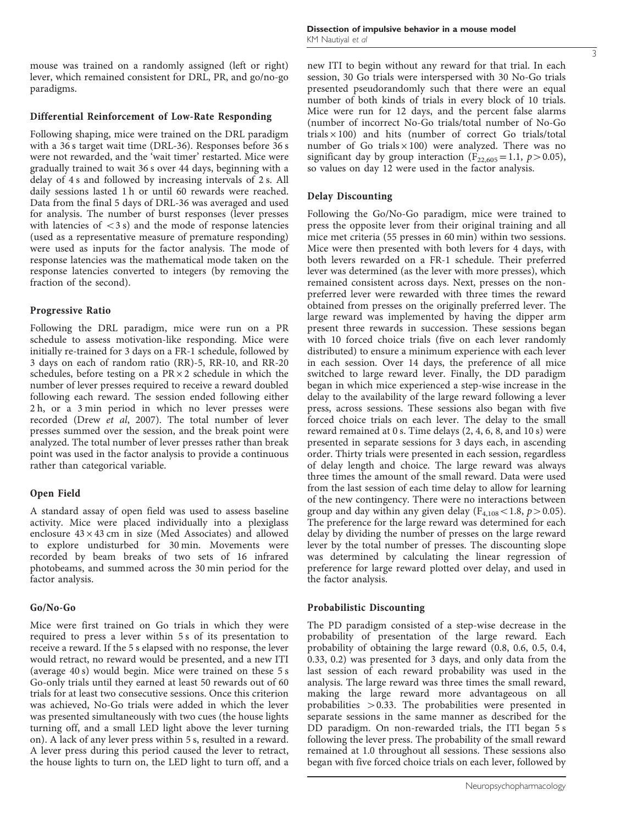mouse was trained on a randomly assigned (left or right) lever, which remained consistent for DRL, PR, and go/no-go paradigms.

### Differential Reinforcement of Low-Rate Responding

Following shaping, mice were trained on the DRL paradigm with a 36 s target wait time (DRL-36). Responses before 36 s were not rewarded, and the 'wait timer' restarted. Mice were gradually trained to wait 36 s over 44 days, beginning with a delay of 4 s and followed by increasing intervals of 2 s. All daily sessions lasted 1 h or until 60 rewards were reached. Data from the final 5 days of DRL-36 was averaged and used for analysis. The number of burst responses (lever presses with latencies of  $\langle 3 \rangle$  and the mode of response latencies (used as a representative measure of premature responding) were used as inputs for the factor analysis. The mode of response latencies was the mathematical mode taken on the response latencies converted to integers (by removing the fraction of the second).

## Progressive Ratio

Following the DRL paradigm, mice were run on a PR schedule to assess motivation-like responding. Mice were initially re-trained for 3 days on a FR-1 schedule, followed by 3 days on each of random ratio (RR)-5, RR-10, and RR-20 schedules, before testing on a  $PR \times 2$  schedule in which the number of lever presses required to receive a reward doubled following each reward. The session ended following either 2 h, or a 3 min period in which no lever presses were recorded (Drew et al[, 2007](#page-7-0)). The total number of lever presses summed over the session, and the break point were analyzed. The total number of lever presses rather than break point was used in the factor analysis to provide a continuous rather than categorical variable.

## Open Field

A standard assay of open field was used to assess baseline activity. Mice were placed individually into a plexiglass enclosure  $43 \times 43$  cm in size (Med Associates) and allowed to explore undisturbed for 30 min. Movements were recorded by beam breaks of two sets of 16 infrared photobeams, and summed across the 30 min period for the factor analysis.

## Go/No-Go

Mice were first trained on Go trials in which they were required to press a lever within 5 s of its presentation to receive a reward. If the 5 s elapsed with no response, the lever would retract, no reward would be presented, and a new ITI (average 40 s) would begin. Mice were trained on these 5 s Go-only trials until they earned at least 50 rewards out of 60 trials for at least two consecutive sessions. Once this criterion was achieved, No-Go trials were added in which the lever was presented simultaneously with two cues (the house lights turning off, and a small LED light above the lever turning on). A lack of any lever press within 5 s, resulted in a reward. A lever press during this period caused the lever to retract, the house lights to turn on, the LED light to turn off, and a new ITI to begin without any reward for that trial. In each session, 30 Go trials were interspersed with 30 No-Go trials presented pseudorandomly such that there were an equal number of both kinds of trials in every block of 10 trials. Mice were run for 12 days, and the percent false alarms (number of incorrect No-Go trials/total number of No-Go trials  $\times$  100) and hits (number of correct Go trials/total number of Go trials  $\times$  100) were analyzed. There was no significant day by group interaction ( $F_{22,605}$  = 1.1,  $p$  > 0.05), so values on day 12 were used in the factor analysis.

### Delay Discounting

Following the Go/No-Go paradigm, mice were trained to press the opposite lever from their original training and all mice met criteria (55 presses in 60 min) within two sessions. Mice were then presented with both levers for 4 days, with both levers rewarded on a FR-1 schedule. Their preferred lever was determined (as the lever with more presses), which remained consistent across days. Next, presses on the nonpreferred lever were rewarded with three times the reward obtained from presses on the originally preferred lever. The large reward was implemented by having the dipper arm present three rewards in succession. These sessions began with 10 forced choice trials (five on each lever randomly distributed) to ensure a minimum experience with each lever in each session. Over 14 days, the preference of all mice switched to large reward lever. Finally, the DD paradigm began in which mice experienced a step-wise increase in the delay to the availability of the large reward following a lever press, across sessions. These sessions also began with five forced choice trials on each lever. The delay to the small reward remained at 0 s. Time delays (2, 4, 6, 8, and 10 s) were presented in separate sessions for 3 days each, in ascending order. Thirty trials were presented in each session, regardless of delay length and choice. The large reward was always three times the amount of the small reward. Data were used from the last session of each time delay to allow for learning of the new contingency. There were no interactions between group and day within any given delay ( $F_{4,108}$  < 1.8,  $p$  > 0.05). The preference for the large reward was determined for each delay by dividing the number of presses on the large reward lever by the total number of presses. The discounting slope was determined by calculating the linear regression of preference for large reward plotted over delay, and used in the factor analysis.

#### Probabilistic Discounting

The PD paradigm consisted of a step-wise decrease in the probability of presentation of the large reward. Each probability of obtaining the large reward (0.8, 0.6, 0.5, 0.4, 0.33, 0.2) was presented for 3 days, and only data from the last session of each reward probability was used in the analysis. The large reward was three times the small reward, making the large reward more advantageous on all probabilities  $> 0.33$ . The probabilities were presented in separate sessions in the same manner as described for the DD paradigm. On non-rewarded trials, the ITI began 5 s following the lever press. The probability of the small reward remained at 1.0 throughout all sessions. These sessions also began with five forced choice trials on each lever, followed by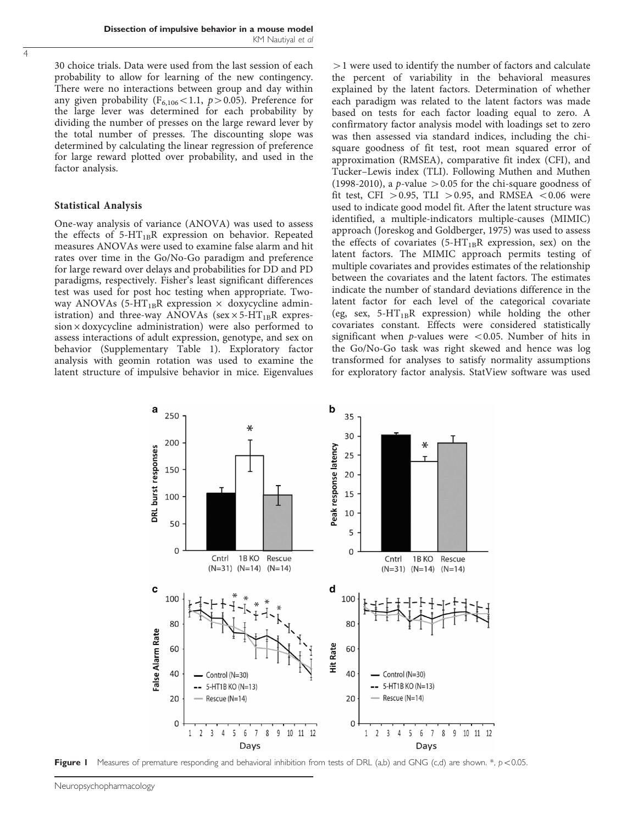<span id="page-3-0"></span>30 choice trials. Data were used from the last session of each probability to allow for learning of the new contingency. There were no interactions between group and day within any given probability ( $F_{6,106}$ <1.1, p > 0.05). Preference for the large lever was determined for each probability by dividing the number of presses on the large reward lever by the total number of presses. The discounting slope was determined by calculating the linear regression of preference for large reward plotted over probability, and used in the factor analysis.

### Statistical Analysis

One-way analysis of variance (ANOVA) was used to assess the effects of  $5-HT_{1B}R$  expression on behavior. Repeated measures ANOVAs were used to examine false alarm and hit rates over time in the Go/No-Go paradigm and preference for large reward over delays and probabilities for DD and PD paradigms, respectively. Fisher's least significant differences test was used for post hoc testing when appropriate. Twoway ANOVAs (5-HT<sub>1B</sub>R expression  $\times$  doxycycline administration) and three-way ANOVAs (sex  $\times$  5-HT<sub>1B</sub>R expres $sion \times$  doxycycline administration) were also performed to assess interactions of adult expression, genotype, and sex on behavior (Supplementary Table 1). Exploratory factor analysis with geomin rotation was used to examine the latent structure of impulsive behavior in mice. Eigenvalues

 $>1$  were used to identify the number of factors and calculate the percent of variability in the behavioral measures explained by the latent factors. Determination of whether each paradigm was related to the latent factors was made based on tests for each factor loading equal to zero. A confirmatory factor analysis model with loadings set to zero was then assessed via standard indices, including the chisquare goodness of fit test, root mean squared error of approximation (RMSEA), comparative fit index (CFI), and Tucker–Lewis index (TLI). Following [Muthen and Muthen](#page-8-0) [\(1998-2010\)](#page-8-0), a p-value  $> 0.05$  for the chi-square goodness of fit test, CFI  $> 0.95$ , TLI  $> 0.95$ , and RMSEA  $< 0.06$  were used to indicate good model fit. After the latent structure was identified, a multiple-indicators multiple-causes (MIMIC) approach [\(Joreskog and Goldberger, 1975](#page-8-0)) was used to assess the effects of covariates (5- $HT_{1B}R$  expression, sex) on the latent factors. The MIMIC approach permits testing of multiple covariates and provides estimates of the relationship between the covariates and the latent factors. The estimates indicate the number of standard deviations difference in the latent factor for each level of the categorical covariate (eg, sex,  $5-HT_{1B}R$  expression) while holding the other covariates constant. Effects were considered statistically significant when p-values were  $< 0.05$ . Number of hits in the Go/No-Go task was right skewed and hence was log transformed for analyses to satisfy normality assumptions for exploratory factor analysis. StatView software was used



Figure I Measures of premature responding and behavioral inhibition from tests of DRL (a,b) and GNG (c,d) are shown.  $*, p < 0.05$ .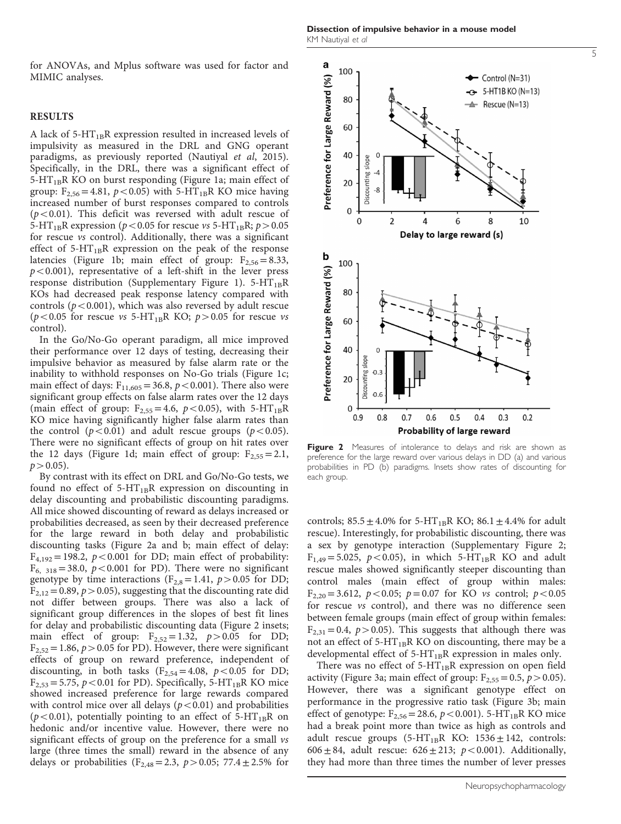Dissection of impulsive behavior in a mouse model KM Nautiyal et al

for ANOVAs, and Mplus software was used for factor and MIMIC analyses.

#### RESULTS

A lack of  $5-HT_{1B}R$  expression resulted in increased levels of impulsivity as measured in the DRL and GNG operant paradigms, as previously reported [\(Nautiyal](#page-8-0) et al, 2015). Specifically, in the DRL, there was a significant effect of  $5-HT_{1B}R$  KO on burst responding ([Figure 1a](#page-3-0); main effect of group:  $F_{2,56}$  = 4.81,  $p$  < 0.05) with 5-HT<sub>1B</sub>R KO mice having increased number of burst responses compared to controls  $(p<0.01)$ . This deficit was reversed with adult rescue of 5-HT<sub>1B</sub>R expression ( $p$  < 0.05 for rescue vs 5-HT<sub>1B</sub>R;  $p$  > 0.05 for rescue vs control). Additionally, there was a significant effect of  $5-HT_{1B}R$  expression on the peak of the response latencies ([Figure 1b;](#page-3-0) main effect of group:  $F_{2,56} = 8.33$ ,  $p$ <0.001), representative of a left-shift in the lever press response distribution (Supplementary Figure 1).  $5-HT_{1B}R$ KOs had decreased peak response latency compared with controls ( $p$ <0.001), which was also reversed by adult rescue ( $p$ <0.05 for rescue vs 5-HT<sub>1B</sub>R KO;  $p$  > 0.05 for rescue vs control).

In the Go/No-Go operant paradigm, all mice improved their performance over 12 days of testing, decreasing their impulsive behavior as measured by false alarm rate or the inability to withhold responses on No-Go trials ([Figure 1c;](#page-3-0) main effect of days:  $F_{11,605} = 36.8$ ,  $p < 0.001$ ). There also were significant group effects on false alarm rates over the 12 days (main effect of group:  $F_{2,55} = 4.6$ ,  $p < 0.05$ ), with 5-HT<sub>1B</sub>R KO mice having significantly higher false alarm rates than the control ( $p < 0.01$ ) and adult rescue groups ( $p < 0.05$ ). There were no significant effects of group on hit rates over the 12 days [\(Figure 1d](#page-3-0); main effect of group:  $F_{2,55} = 2.1$ ,  $p > 0.05$ ).

By contrast with its effect on DRL and Go/No-Go tests, we found no effect of  $5-HT_{1B}R$  expression on discounting in delay discounting and probabilistic discounting paradigms. All mice showed discounting of reward as delays increased or probabilities decreased, as seen by their decreased preference for the large reward in both delay and probabilistic discounting tasks (Figure 2a and b; main effect of delay:  $F_{4,192}$  = 198.2,  $p$  < 0.001 for DD; main effect of probability:  $F_{6, 318} = 38.0, p < 0.001$  for PD). There were no significant genotype by time interactions ( $F_{2,8}$  = 1.41,  $p > 0.05$  for DD;  $F_{2,12} = 0.89$ ,  $p > 0.05$ ), suggesting that the discounting rate did not differ between groups. There was also a lack of significant group differences in the slopes of best fit lines for delay and probabilistic discounting data (Figure 2 insets; main effect of group:  $F_{2,52} = 1.32$ ,  $p > 0.05$  for DD;  $F_{2,52} = 1.86$ ,  $p > 0.05$  for PD). However, there were significant effects of group on reward preference, independent of discounting, in both tasks ( $F_{2,54} = 4.08$ ,  $p < 0.05$  for DD;  $F_{2,53} = 5.75$ ,  $p < 0.01$  for PD). Specifically, 5-HT<sub>1B</sub>R KO mice showed increased preference for large rewards compared with control mice over all delays  $(p<0.01)$  and probabilities ( $p$ <0.01), potentially pointing to an effect of 5-HT<sub>1B</sub>R on hedonic and/or incentive value. However, there were no significant effects of group on the preference for a small vs large (three times the small) reward in the absence of any delays or probabilities (F<sub>2,48</sub>=2.3,  $p > 0.05$ ; 77.4 ± 2.5% for



Figure 2 Measures of intolerance to delays and risk are shown as preference for the large reward over various delays in DD (a) and various probabilities in PD (b) paradigms. Insets show rates of discounting for each group.

controls;  $85.5 \pm 4.0\%$  for  $5-HT_{1B}R$  KO;  $86.1 \pm 4.4\%$  for adult rescue). Interestingly, for probabilistic discounting, there was a sex by genotype interaction (Supplementary Figure 2;  $F_{1,49} = 5.025$ ,  $p < 0.05$ ), in which 5-HT<sub>1B</sub>R KO and adult rescue males showed significantly steeper discounting than control males (main effect of group within males:  $F_{2,20} = 3.612$ ,  $p < 0.05$ ;  $p = 0.07$  for KO *vs* control;  $p < 0.05$ for rescue vs control), and there was no difference seen between female groups (main effect of group within females:  $F_{2,31} = 0.4$ ,  $p > 0.05$ ). This suggests that although there was not an effect of  $5-HT_{1B}R KO$  on discounting, there may be a developmental effect of  $5-HT_{1B}R$  expression in males only.

There was no effect of  $5-HT_{1B}R$  expression on open field activity [\(Figure 3a](#page-5-0); main effect of group:  $F_{2,55} = 0.5$ ,  $p > 0.05$ ). However, there was a significant genotype effect on performance in the progressive ratio task ([Figure 3b;](#page-5-0) main effect of genotype:  $F_{2,56} = 28.6$ ,  $p < 0.001$ ). 5-HT<sub>1B</sub>R KO mice had a break point more than twice as high as controls and adult rescue groups  $(5-HT_{1B}R$  KO:  $1536 \pm 142$ , controls: 606 ± 84, adult rescue:  $626 \pm 213$ ;  $p < 0.001$ ). Additionally, they had more than three times the number of lever presses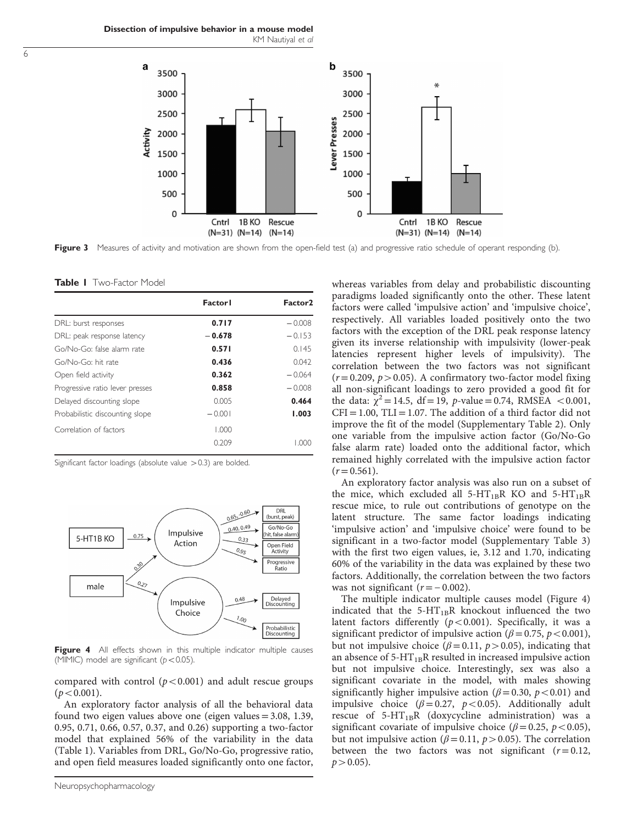<span id="page-5-0"></span>Dissection of impulsive behavior in a mouse model KM Nautiyal et al



Figure 3 Measures of activity and motivation are shown from the open-field test (a) and progressive ratio schedule of operant responding (b).

Table I Two-Factor Model

|                                 | <b>Factorl</b> | Factor <sub>2</sub> |
|---------------------------------|----------------|---------------------|
| DRL: burst responses            | 0.717          | $-0.008$            |
| DRL: peak response latency      | $-0.678$       | $-0.153$            |
| Go/No-Go: false alarm rate      | 0.571          | 0.145               |
| Go/No-Go: hit rate              | 0.436          | 0.042               |
| Open field activity             | 0.362          | $-0.064$            |
| Progressive ratio lever presses | 0.858          | $-0.008$            |
| Delayed discounting slope       | 0.005          | 0.464               |
| Probabilistic discounting slope | $-0.001$       | 1.003               |
| Correlation of factors          | 1.000          |                     |
|                                 | 0.209          | ( )( )( )           |

Significant factor loadings (absolute value  $>$  0.3) are bolded.



Figure 4 All effects shown in this multiple indicator multiple causes (MIMIC) model are significant ( $p < 0.05$ ).

compared with control  $(p<0.001)$  and adult rescue groups  $(p < 0.001)$ .

An exploratory factor analysis of all the behavioral data found two eigen values above one (eigen values = 3.08, 1.39, 0.95, 0.71, 0.66, 0.57, 0.37, and 0.26) supporting a two-factor model that explained 56% of the variability in the data (Table 1). Variables from DRL, Go/No-Go, progressive ratio, and open field measures loaded significantly onto one factor,

whereas variables from delay and probabilistic discounting paradigms loaded significantly onto the other. These latent factors were called 'impulsive action' and 'impulsive choice', respectively. All variables loaded positively onto the two factors with the exception of the DRL peak response latency given its inverse relationship with impulsivity (lower-peak latencies represent higher levels of impulsivity). The correlation between the two factors was not significant  $(r= 0.209, p>0.05)$ . A confirmatory two-factor model fixing all non-significant loadings to zero provided a good fit for the data:  $\chi^2 = 14.5$ , df = 19, p-value = 0.74, RMSEA < 0.001,  $CFI = 1.00$ ,  $TLI = 1.07$ . The addition of a third factor did not improve the fit of the model (Supplementary Table 2). Only one variable from the impulsive action factor (Go/No-Go false alarm rate) loaded onto the additional factor, which remained highly correlated with the impulsive action factor  $(r= 0.561)$ .

An exploratory factor analysis was also run on a subset of the mice, which excluded all  $5-HT_{1B}R$  KO and  $5-HT_{1B}R$ rescue mice, to rule out contributions of genotype on the latent structure. The same factor loadings indicating 'impulsive action' and 'impulsive choice' were found to be significant in a two-factor model (Supplementary Table 3) with the first two eigen values, ie, 3.12 and 1.70, indicating 60% of the variability in the data was explained by these two factors. Additionally, the correlation between the two factors was not significant  $(r=-0.002)$ .

The multiple indicator multiple causes model (Figure 4) indicated that the  $5-HT_{1B}R$  knockout influenced the two latent factors differently ( $p < 0.001$ ). Specifically, it was a significant predictor of impulsive action ( $\beta$  = 0.75, p < 0.001), but not impulsive choice ( $\beta$ =0.11,  $p$  > 0.05), indicating that an absence of  $5-HT_{1B}R$  resulted in increased impulsive action but not impulsive choice. Interestingly, sex was also a significant covariate in the model, with males showing significantly higher impulsive action ( $\beta$  = 0.30, p < 0.01) and impulsive choice ( $\beta$ =0.27,  $p$ <0.05). Additionally adult rescue of  $5-HT_{1B}R$  (doxycycline administration) was a significant covariate of impulsive choice ( $\beta$  = 0.25, p < 0.05), but not impulsive action ( $\beta$  = 0.11,  $p$  > 0.05). The correlation between the two factors was not significant  $(r= 0.12,$  $p > 0.05$ ).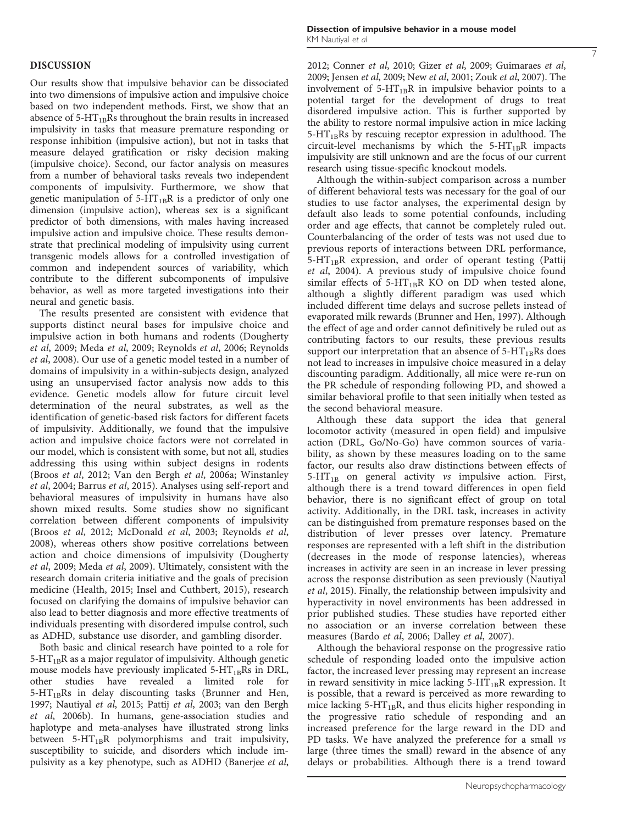## DISCUSSION

Our results show that impulsive behavior can be dissociated into two dimensions of impulsive action and impulsive choice based on two independent methods. First, we show that an absence of  $5-HT_{1B}Rs$  throughout the brain results in increased impulsivity in tasks that measure premature responding or response inhibition (impulsive action), but not in tasks that measure delayed gratification or risky decision making (impulsive choice). Second, our factor analysis on measures from a number of behavioral tasks reveals two independent components of impulsivity. Furthermore, we show that genetic manipulation of  $5-HT_{1B}R$  is a predictor of only one dimension (impulsive action), whereas sex is a significant predictor of both dimensions, with males having increased impulsive action and impulsive choice. These results demonstrate that preclinical modeling of impulsivity using current transgenic models allows for a controlled investigation of common and independent sources of variability, which contribute to the different subcomponents of impulsive behavior, as well as more targeted investigations into their neural and genetic basis.

The results presented are consistent with evidence that supports distinct neural bases for impulsive choice and impulsive action in both humans and rodents [\(Dougherty](#page-7-0) et al[, 2009](#page-7-0); Meda et al[, 2009; Reynolds](#page-8-0) et al, 2006; [Reynolds](#page-8-0) et al[, 2008\)](#page-8-0). Our use of a genetic model tested in a number of domains of impulsivity in a within-subjects design, analyzed using an unsupervised factor analysis now adds to this evidence. Genetic models allow for future circuit level determination of the neural substrates, as well as the identification of genetic-based risk factors for different facets of impulsivity. Additionally, we found that the impulsive action and impulsive choice factors were not correlated in our model, which is consistent with some, but not all, studies addressing this using within subject designs in rodents (Broos et al[, 2012](#page-7-0); [Van den Bergh](#page-8-0) et al, 2006a; [Winstanley](#page-9-0) et al[, 2004](#page-9-0); [Barrus](#page-7-0) et al, 2015). Analyses using self-report and behavioral measures of impulsivity in humans have also shown mixed results. Some studies show no significant correlation between different components of impulsivity (Broos et al[, 2012;](#page-7-0) [McDonald](#page-8-0) et al, 2003; [Reynolds](#page-8-0) et al, [2008\)](#page-8-0), whereas others show positive correlations between action and choice dimensions of impulsivity [\(Dougherty](#page-7-0) et al[, 2009;](#page-7-0) Meda et al[, 2009](#page-8-0)). Ultimately, consistent with the research domain criteria initiative and the goals of precision medicine [\(Health, 2015](#page-8-0); [Insel and Cuthbert, 2015\)](#page-8-0), research focused on clarifying the domains of impulsive behavior can also lead to better diagnosis and more effective treatments of individuals presenting with disordered impulse control, such as ADHD, substance use disorder, and gambling disorder.

Both basic and clinical research have pointed to a role for  $5-HT_{1B}R$  as a major regulator of impulsivity. Although genetic mouse models have previously implicated 5- $HT_{1B}Rs$  in DRL, other studies have revealed a limited role for studies have revealed a limited role for  $5-HT_{1B}$ Rs in delay discounting tasks [\(Brunner and Hen,](#page-7-0) [1997;](#page-7-0) [Nautiyal](#page-8-0) et al, 2015; Pattij et al[, 2003; van den Bergh](#page-8-0) et al[, 2006b\)](#page-8-0). In humans, gene-association studies and haplotype and meta-analyses have illustrated strong links between  $5-HT_{1B}R$  polymorphisms and trait impulsivity, susceptibility to suicide, and disorders which include impulsivity as a key phenotype, such as ADHD [\(Banerjee](#page-7-0) et al, [2012; Conner](#page-7-0) et al, 2010; Gizer et al[, 2009; Guimaraes](#page-8-0) et al, [2009; Jensen](#page-8-0) et al, 2009; New et al[, 2001](#page-8-0); Zouk et al[, 2007](#page-9-0)). The involvement of  $5-HT_{1B}R$  in impulsive behavior points to a potential target for the development of drugs to treat disordered impulsive action. This is further supported by the ability to restore normal impulsive action in mice lacking  $5-HT_{1B}Rs$  by rescuing receptor expression in adulthood. The circuit-level mechanisms by which the  $5-HT_{1B}R$  impacts impulsivity are still unknown and are the focus of our current research using tissue-specific knockout models.

7

Although the within-subject comparison across a number of different behavioral tests was necessary for the goal of our studies to use factor analyses, the experimental design by default also leads to some potential confounds, including order and age effects, that cannot be completely ruled out. Counterbalancing of the order of tests was not used due to previous reports of interactions between DRL performance,  $5-HT_{1B}R$  expression, and order of operant testing [\(Pattij](#page-8-0) et al[, 2004\)](#page-8-0). A previous study of impulsive choice found similar effects of 5-HT<sub>1B</sub>R KO on DD when tested alone, although a slightly different paradigm was used which included different time delays and sucrose pellets instead of evaporated milk rewards ([Brunner and Hen, 1997](#page-7-0)). Although the effect of age and order cannot definitively be ruled out as contributing factors to our results, these previous results support our interpretation that an absence of  $5-HT_{1B}Rs$  does not lead to increases in impulsive choice measured in a delay discounting paradigm. Additionally, all mice were re-run on the PR schedule of responding following PD, and showed a similar behavioral profile to that seen initially when tested as the second behavioral measure.

Although these data support the idea that general locomotor activity (measured in open field) and impulsive action (DRL, Go/No-Go) have common sources of variability, as shown by these measures loading on to the same factor, our results also draw distinctions between effects of  $5-HT_{1B}$  on general activity vs impulsive action. First, although there is a trend toward differences in open field behavior, there is no significant effect of group on total activity. Additionally, in the DRL task, increases in activity can be distinguished from premature responses based on the distribution of lever presses over latency. Premature responses are represented with a left shift in the distribution (decreases in the mode of response latencies), whereas increases in activity are seen in an increase in lever pressing across the response distribution as seen previously [\(Nautiyal](#page-8-0) et al[, 2015](#page-8-0)). Finally, the relationship between impulsivity and hyperactivity in novel environments has been addressed in prior published studies. These studies have reported either no association or an inverse correlation between these measures (Bardo et al[, 2006](#page-7-0); [Dalley](#page-7-0) et al, 2007).

Although the behavioral response on the progressive ratio schedule of responding loaded onto the impulsive action factor, the increased lever pressing may represent an increase in reward sensitivity in mice lacking  $5-HT_{1B}R$  expression. It is possible, that a reward is perceived as more rewarding to mice lacking  $5-HT_{1B}R$ , and thus elicits higher responding in the progressive ratio schedule of responding and an increased preference for the large reward in the DD and PD tasks. We have analyzed the preference for a small vs large (three times the small) reward in the absence of any delays or probabilities. Although there is a trend toward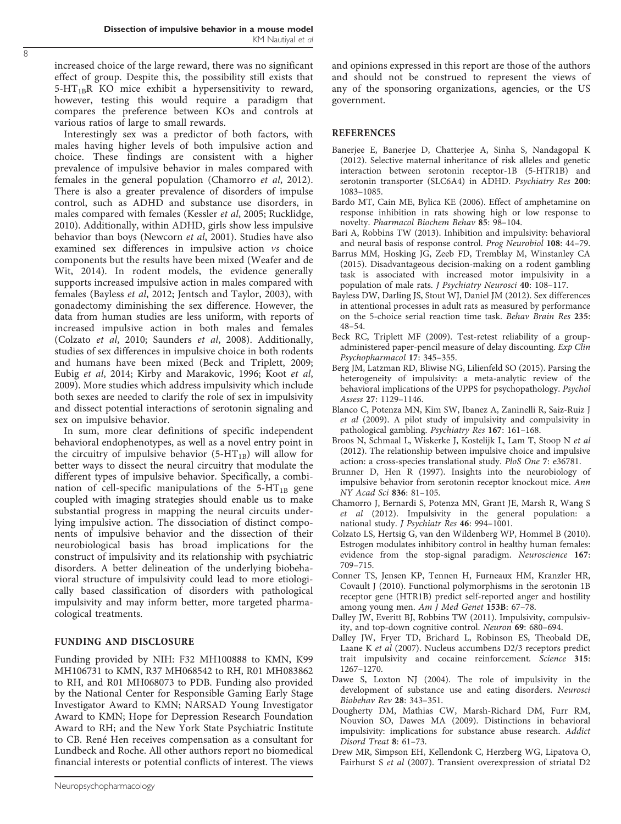<span id="page-7-0"></span>increased choice of the large reward, there was no significant effect of group. Despite this, the possibility still exists that  $5-HT_{1B}R$  KO mice exhibit a hypersensitivity to reward, however, testing this would require a paradigm that compares the preference between KOs and controls at various ratios of large to small rewards.

Interestingly sex was a predictor of both factors, with males having higher levels of both impulsive action and choice. These findings are consistent with a higher prevalence of impulsive behavior in males compared with females in the general population (Chamorro et al, 2012). There is also a greater prevalence of disorders of impulse control, such as ADHD and substance use disorders, in males compared with females ([Kessler](#page-8-0) et al, 2005; [Rucklidge,](#page-8-0) [2010](#page-8-0)). Additionally, within ADHD, girls show less impulsive behavior than boys [\(Newcorn](#page-8-0) et al, 2001). Studies have also examined sex differences in impulsive action vs choice components but the results have been mixed ([Weafer and de](#page-9-0) [Wit, 2014\)](#page-9-0). In rodent models, the evidence generally supports increased impulsive action in males compared with females (Bayless et al, 2012; [Jentsch and Taylor, 2003](#page-8-0)), with gonadectomy diminishing the sex difference. However, the data from human studies are less uniform, with reports of increased impulsive action in both males and females (Colzato et al, 2010; [Saunders](#page-8-0) et al, 2008). Additionally, studies of sex differences in impulsive choice in both rodents and humans have been mixed (Beck and Triplett, 2009; Eubig et al[, 2014](#page-8-0); [Kirby and Marakovic, 1996](#page-8-0); [Koot](#page-8-0) et al, [2009](#page-8-0)). More studies which address impulsivity which include both sexes are needed to clarify the role of sex in impulsivity and dissect potential interactions of serotonin signaling and sex on impulsive behavior.

In sum, more clear definitions of specific independent behavioral endophenotypes, as well as a novel entry point in the circuitry of impulsive behavior  $(5-HT_{1B})$  will allow for better ways to dissect the neural circuitry that modulate the different types of impulsive behavior. Specifically, a combination of cell-specific manipulations of the  $5-HT_{1B}$  gene coupled with imaging strategies should enable us to make substantial progress in mapping the neural circuits underlying impulsive action. The dissociation of distinct components of impulsive behavior and the dissection of their neurobiological basis has broad implications for the construct of impulsivity and its relationship with psychiatric disorders. A better delineation of the underlying biobehavioral structure of impulsivity could lead to more etiologically based classification of disorders with pathological impulsivity and may inform better, more targeted pharmacological treatments.

## FUNDING AND DISCLOSURE

Funding provided by NIH: F32 MH100888 to KMN, K99 MH106731 to KMN, R37 MH068542 to RH, R01 MH083862 to RH, and R01 MH068073 to PDB. Funding also provided by the National Center for Responsible Gaming Early Stage Investigator Award to KMN; NARSAD Young Investigator Award to KMN; Hope for Depression Research Foundation Award to RH; and the New York State Psychiatric Institute to CB. René Hen receives compensation as a consultant for Lundbeck and Roche. All other authors report no biomedical financial interests or potential conflicts of interest. The views and opinions expressed in this report are those of the authors and should not be construed to represent the views of any of the sponsoring organizations, agencies, or the US government.

## **REFERENCES**

- Banerjee E, Banerjee D, Chatterjee A, Sinha S, Nandagopal K (2012). Selective maternal inheritance of risk alleles and genetic interaction between serotonin receptor-1B (5-HTR1B) and serotonin transporter (SLC6A4) in ADHD. Psychiatry Res 200: 1083–1085.
- Bardo MT, Cain ME, Bylica KE (2006). Effect of amphetamine on response inhibition in rats showing high or low response to novelty. Pharmacol Biochem Behav 85: 98–104.
- Bari A, Robbins TW (2013). Inhibition and impulsivity: behavioral and neural basis of response control. Prog Neurobiol 108: 44–79.
- Barrus MM, Hosking JG, Zeeb FD, Tremblay M, Winstanley CA (2015). Disadvantageous decision-making on a rodent gambling task is associated with increased motor impulsivity in a population of male rats. J Psychiatry Neurosci 40: 108–117.
- Bayless DW, Darling JS, Stout WJ, Daniel JM (2012). Sex differences in attentional processes in adult rats as measured by performance on the 5-choice serial reaction time task. Behav Brain Res 235: 48–54.
- Beck RC, Triplett MF (2009). Test-retest reliability of a groupadministered paper-pencil measure of delay discounting. Exp Clin Psychopharmacol 17: 345–355.
- Berg JM, Latzman RD, Bliwise NG, Lilienfeld SO (2015). Parsing the heterogeneity of impulsivity: a meta-analytic review of the behavioral implications of the UPPS for psychopathology. Psychol Assess 27: 1129–1146.
- Blanco C, Potenza MN, Kim SW, Ibanez A, Zaninelli R, Saiz-Ruiz J et al (2009). A pilot study of impulsivity and compulsivity in pathological gambling. Psychiatry Res 167: 161–168.
- Broos N, Schmaal L, Wiskerke J, Kostelijk L, Lam T, Stoop N et al (2012). The relationship between impulsive choice and impulsive action: a cross-species translational study. PloS One 7: e36781.
- Brunner D, Hen R (1997). Insights into the neurobiology of impulsive behavior from serotonin receptor knockout mice. Ann NY Acad Sci 836: 81–105.
- Chamorro J, Bernardi S, Potenza MN, Grant JE, Marsh R, Wang S et al (2012). Impulsivity in the general population: a national study. J Psychiatr Res 46: 994–1001.
- Colzato LS, Hertsig G, van den Wildenberg WP, Hommel B (2010). Estrogen modulates inhibitory control in healthy human females: evidence from the stop-signal paradigm. Neuroscience 167: 709–715.
- Conner TS, Jensen KP, Tennen H, Furneaux HM, Kranzler HR, Covault J (2010). Functional polymorphisms in the serotonin 1B receptor gene (HTR1B) predict self-reported anger and hostility among young men. Am J Med Genet 153B: 67–78.
- Dalley JW, Everitt BJ, Robbins TW (2011). Impulsivity, compulsivity, and top-down cognitive control. Neuron 69: 680–694.
- Dalley JW, Fryer TD, Brichard L, Robinson ES, Theobald DE, Laane K et al (2007). Nucleus accumbens D2/3 receptors predict trait impulsivity and cocaine reinforcement. Science 315: 1267–1270.
- Dawe S, Loxton NJ (2004). The role of impulsivity in the development of substance use and eating disorders. Neurosci Biobehav Rev 28: 343–351.
- Dougherty DM, Mathias CW, Marsh-Richard DM, Furr RM, Nouvion SO, Dawes MA (2009). Distinctions in behavioral impulsivity: implications for substance abuse research. Addict Disord Treat 8: 61–73.
- Drew MR, Simpson EH, Kellendonk C, Herzberg WG, Lipatova O, Fairhurst S et al (2007). Transient overexpression of striatal D2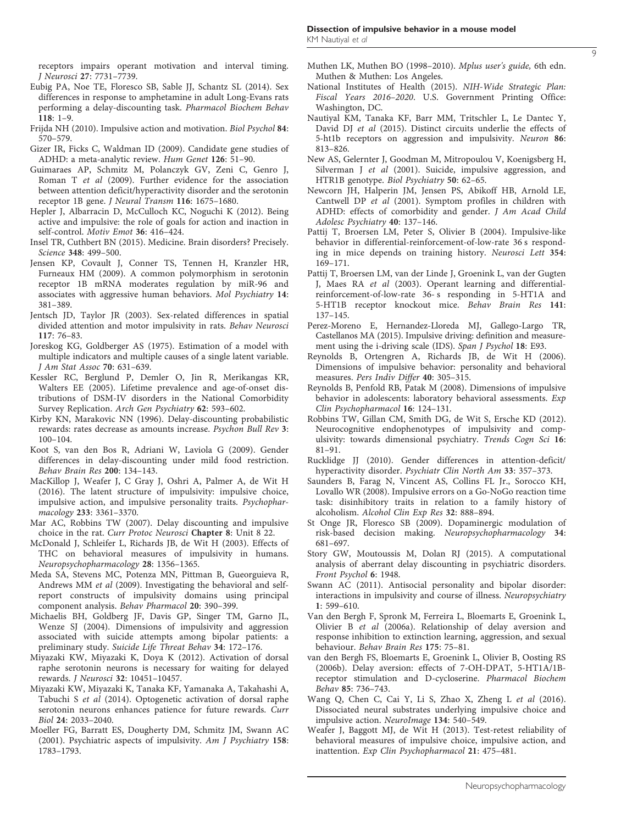<span id="page-8-0"></span>receptors impairs operant motivation and interval timing. J Neurosci 27: 7731–7739.

- Eubig PA, Noe TE, Floresco SB, Sable JJ, Schantz SL (2014). Sex differences in response to amphetamine in adult Long-Evans rats performing a delay-discounting task. Pharmacol Biochem Behav 118: 1–9.
- Frijda NH (2010). Impulsive action and motivation. Biol Psychol 84: 570–579.
- Gizer IR, Ficks C, Waldman ID (2009). Candidate gene studies of ADHD: a meta-analytic review. Hum Genet 126: 51–90.
- Guimaraes AP, Schmitz M, Polanczyk GV, Zeni C, Genro J, Roman T et al (2009). Further evidence for the association between attention deficit/hyperactivity disorder and the serotonin receptor 1B gene. J Neural Transm 116: 1675–1680.
- Hepler J, Albarracin D, McCulloch KC, Noguchi K (2012). Being active and impulsive: the role of goals for action and inaction in self-control. Motiv Emot 36: 416–424.
- Insel TR, Cuthbert BN (2015). Medicine. Brain disorders? Precisely. Science 348: 499–500.
- Jensen KP, Covault J, Conner TS, Tennen H, Kranzler HR, Furneaux HM (2009). A common polymorphism in serotonin receptor 1B mRNA moderates regulation by miR-96 and associates with aggressive human behaviors. Mol Psychiatry 14: 381–389.
- Jentsch JD, Taylor JR (2003). Sex-related differences in spatial divided attention and motor impulsivity in rats. Behav Neurosci 117: 76–83.
- Joreskog KG, Goldberger AS (1975). Estimation of a model with multiple indicators and multiple causes of a single latent variable. J Am Stat Assoc 70: 631–639.
- Kessler RC, Berglund P, Demler O, Jin R, Merikangas KR, Walters EE (2005). Lifetime prevalence and age-of-onset distributions of DSM-IV disorders in the National Comorbidity Survey Replication. Arch Gen Psychiatry 62: 593–602.
- Kirby KN, Marakovic NN (1996). Delay-discounting probabilistic rewards: rates decrease as amounts increase. Psychon Bull Rev 3: 100–104.
- Koot S, van den Bos R, Adriani W, Laviola G (2009). Gender differences in delay-discounting under mild food restriction. Behav Brain Res 200: 134–143.
- MacKillop J, Weafer J, C Gray J, Oshri A, Palmer A, de Wit H (2016). The latent structure of impulsivity: impulsive choice, impulsive action, and impulsive personality traits. Psychopharmacology 233: 3361–3370.
- Mar AC, Robbins TW (2007). Delay discounting and impulsive choice in the rat. Curr Protoc Neurosci Chapter 8: Unit 8 22.
- McDonald J, Schleifer L, Richards JB, de Wit H (2003). Effects of THC on behavioral measures of impulsivity in humans. Neuropsychopharmacology 28: 1356–1365.
- Meda SA, Stevens MC, Potenza MN, Pittman B, Gueorguieva R, Andrews MM et al (2009). Investigating the behavioral and selfreport constructs of impulsivity domains using principal component analysis. Behav Pharmacol 20: 390–399.
- Michaelis BH, Goldberg JF, Davis GP, Singer TM, Garno JL, Wenze SJ (2004). Dimensions of impulsivity and aggression associated with suicide attempts among bipolar patients: a preliminary study. Suicide Life Threat Behav 34: 172–176.
- Miyazaki KW, Miyazaki K, Doya K (2012). Activation of dorsal raphe serotonin neurons is necessary for waiting for delayed rewards. J Neurosci 32: 10451–10457.
- Miyazaki KW, Miyazaki K, Tanaka KF, Yamanaka A, Takahashi A, Tabuchi S et al (2014). Optogenetic activation of dorsal raphe serotonin neurons enhances patience for future rewards. Curr Biol 24: 2033–2040.
- Moeller FG, Barratt ES, Dougherty DM, Schmitz JM, Swann AC (2001). Psychiatric aspects of impulsivity. Am J Psychiatry 158: 1783–1793.

Muthen LK, Muthen BO (1998–2010). Mplus user's guide, 6th edn. Muthen & Muthen: Los Angeles.

9

- National Institutes of Health (2015). NIH-Wide Strategic Plan: Fiscal Years 2016–2020. U.S. Government Printing Office: Washington, DC.
- Nautiyal KM, Tanaka KF, Barr MM, Tritschler L, Le Dantec Y, David DJ et al (2015). Distinct circuits underlie the effects of 5-ht1b receptors on aggression and impulsivity. Neuron 86: 813–826.
- New AS, Gelernter J, Goodman M, Mitropoulou V, Koenigsberg H, Silverman J et al (2001). Suicide, impulsive aggression, and HTR1B genotype. Biol Psychiatry 50: 62–65.
- Newcorn JH, Halperin JM, Jensen PS, Abikoff HB, Arnold LE, Cantwell DP et al (2001). Symptom profiles in children with ADHD: effects of comorbidity and gender. J Am Acad Child Adolesc Psychiatry 40: 137–146.
- Pattij T, Broersen LM, Peter S, Olivier B (2004). Impulsive-like behavior in differential-reinforcement-of-low-rate 36 s responding in mice depends on training history. Neurosci Lett 354: 169–171.
- Pattij T, Broersen LM, van der Linde J, Groenink L, van der Gugten J, Maes RA et al (2003). Operant learning and differentialreinforcement-of-low-rate 36-s responding in 5-HT1A and 5-HT1B receptor knockout mice. Behav Brain Res 141: 137–145.
- Perez-Moreno E, Hernandez-Lloreda MJ, Gallego-Largo TR, Castellanos MA (2015). Impulsive driving: definition and measurement using the i-driving scale (IDS). Span J Psychol 18: E93.
- Reynolds B, Ortengren A, Richards JB, de Wit H (2006). Dimensions of impulsive behavior: personality and behavioral measures. Pers Indiv Differ 40: 305–315.
- Reynolds B, Penfold RB, Patak M (2008). Dimensions of impulsive behavior in adolescents: laboratory behavioral assessments. Exp Clin Psychopharmacol 16: 124–131.
- Robbins TW, Gillan CM, Smith DG, de Wit S, Ersche KD (2012). Neurocognitive endophenotypes of impulsivity and compulsivity: towards dimensional psychiatry. Trends Cogn Sci 16: 81–91.
- Rucklidge JJ (2010). Gender differences in attention-deficit/ hyperactivity disorder. Psychiatr Clin North Am 33: 357–373.
- Saunders B, Farag N, Vincent AS, Collins FL Jr., Sorocco KH, Lovallo WR (2008). Impulsive errors on a Go-NoGo reaction time task: disinhibitory traits in relation to a family history of alcoholism. Alcohol Clin Exp Res 32: 888–894.
- St Onge JR, Floresco SB (2009). Dopaminergic modulation of risk-based decision making. Neuropsychopharmacology 34: 681–697.
- Story GW, Moutoussis M, Dolan RJ (2015). A computational analysis of aberrant delay discounting in psychiatric disorders. Front Psychol 6: 1948.
- Swann AC (2011). Antisocial personality and bipolar disorder: interactions in impulsivity and course of illness. Neuropsychiatry 1: 599–610.
- Van den Bergh F, Spronk M, Ferreira L, Bloemarts E, Groenink L, Olivier B et al (2006a). Relationship of delay aversion and response inhibition to extinction learning, aggression, and sexual behaviour. Behav Brain Res 175: 75–81.
- van den Bergh FS, Bloemarts E, Groenink L, Olivier B, Oosting RS (2006b). Delay aversion: effects of 7-OH-DPAT, 5-HT1A/1Breceptor stimulation and D-cycloserine. Pharmacol Biochem Behav 85: 736–743.
- Wang Q, Chen C, Cai Y, Li S, Zhao X, Zheng L et al (2016). Dissociated neural substrates underlying impulsive choice and impulsive action. NeuroImage 134: 540–549.
- Weafer J, Baggott MJ, de Wit H (2013). Test-retest reliability of behavioral measures of impulsive choice, impulsive action, and inattention. Exp Clin Psychopharmacol 21: 475–481.